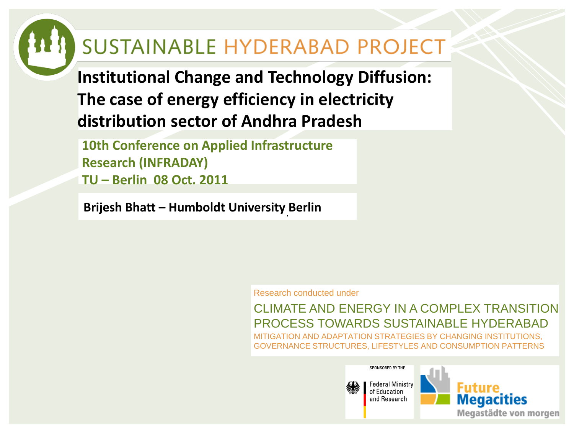#### SUSTAINABLE HYDERABAD PROJECT

**Institutional Change and Technology Diffusion: The case of energy efficiency in electricity distribution sector of Andhra Pradesh**

**10th Conference on Applied Infrastructure Research (INFRADAY) TU – Berlin 08 Oct. 2011**

**Brijesh Bhatt – Humboldt University Berlin**

Research conducted under

CLIMATE AND ENERGY IN A COMPLEX TRANSITION PROCESS TOWARDS SUSTAINABLE HYDERABAD MITIGATION AND ADAPTATION STRATEGIES BY CHANGING INSTITUTIONS, GOVERNANCE STRUCTURES, LIFESTYLES AND CONSUMPTION PATTERNS



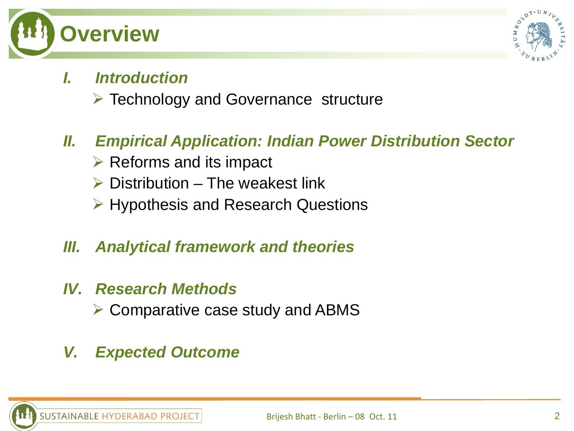



#### *I. Introduction*

 $\triangleright$  Technology and Governance structure

#### *II. Empirical Application: Indian Power Distribution Sector*

- $\triangleright$  Reforms and its impact
- $\triangleright$  Distribution The weakest link
- $\triangleright$  Hypothesis and Research Questions
- *III. Analytical framework and theories*
- *IV. Research Methods* 
	- $\triangleright$  Comparative case study and ABMS
- *V. Expected Outcome*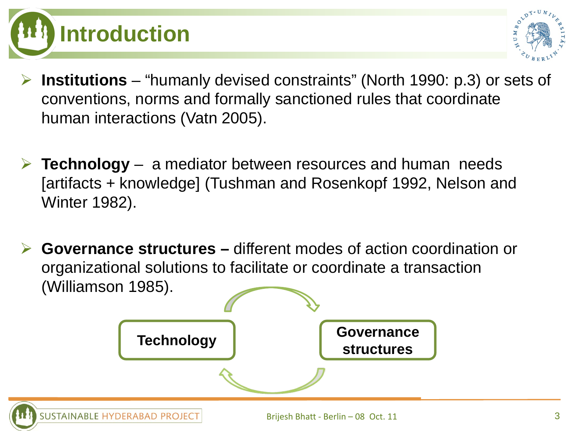



- **Institutions** "humanly devised constraints" (North 1990: p.3) or sets of conventions, norms and formally sanctioned rules that coordinate human interactions (Vatn 2005).
- **Technology** a mediator between resources and human needs [artifacts + knowledge] (Tushman and Rosenkopf 1992, Nelson and Winter 1982).
- **Governance structures –** different modes of action coordination or organizational solutions to facilitate or coordinate a transaction (Williamson 1985).

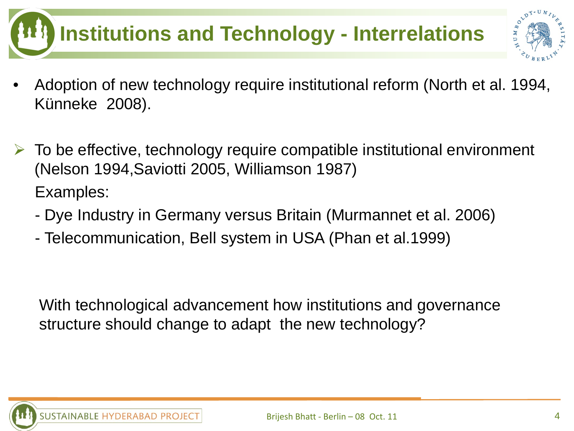# **Institutions and Technology - Interrelations**



- Adoption of new technology require institutional reform (North et al. 1994, Künneke 2008).
- To be effective, technology require compatible institutional environment (Nelson 1994,Saviotti 2005, Williamson 1987) Examples:
	- Dye Industry in Germany versus Britain (Murmannet et al. 2006)
	- Telecommunication, Bell system in USA (Phan et al.1999)

With technological advancement how institutions and governance structure should change to adapt the new technology?

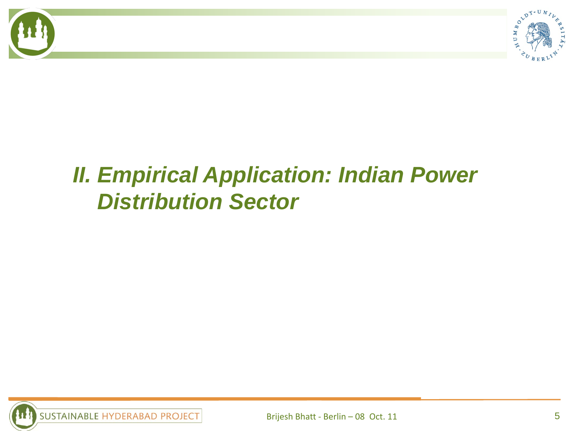

### *II. Empirical Application: Indian Power Distribution Sector*

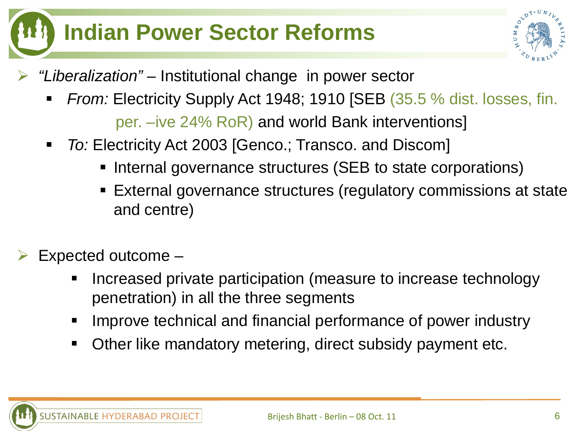### **Indian Power Sector Reforms**



- *"Liberalization"* Institutional change in power sector
	- *From:* Electricity Supply Act 1948; 1910 [SEB (35.5 % dist. losses, fin. per. –ive 24% RoR) and world Bank interventions]
	- *To:* Electricity Act 2003 [Genco.; Transco. and Discom]
		- Internal governance structures (SEB to state corporations)
		- External governance structures (regulatory commissions at state and centre)
- Expected outcome
	- Increased private participation (measure to increase technology penetration) in all the three segments
	- **IMPROVE TECH INGOVIDUATE:** Improve technical and financial performance of power industry
	- Other like mandatory metering, direct subsidy payment etc.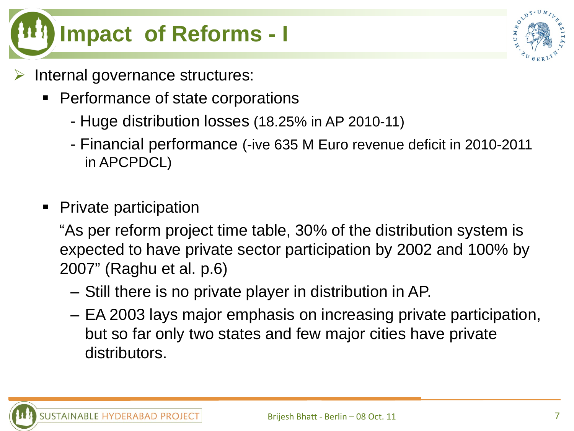

- Internal governance structures:
	- Performance of state corporations
		- Huge distribution losses (18.25% in AP 2010-11)
		- Financial performance (-ive 635 M Euro revenue deficit in 2010-2011 in APCPDCL)
	- Private participation

"As per reform project time table, 30% of the distribution system is expected to have private sector participation by 2002 and 100% by 2007" (Raghu et al. p.6)

- Still there is no private player in distribution in AP.
- EA 2003 lays major emphasis on increasing private participation, but so far only two states and few major cities have private distributors.

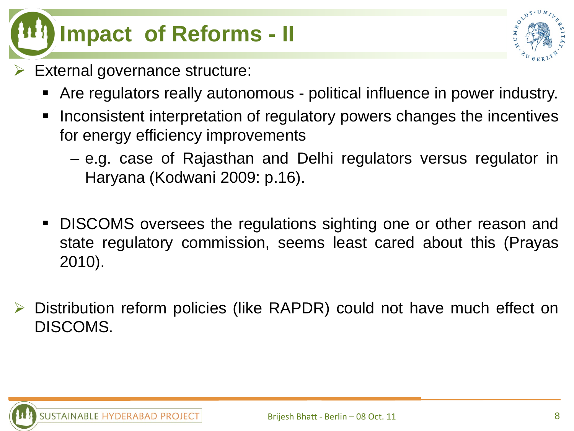### **Impact of Reforms - II**



- External governance structure:
	- Are regulators really autonomous political influence in power industry.
	- **Inconsistent interpretation of regulatory powers changes the incentives** for energy efficiency improvements
		- e.g. case of Rajasthan and Delhi regulators versus regulator in Haryana (Kodwani 2009: p.16).
	- DISCOMS oversees the regulations sighting one or other reason and state regulatory commission, seems least cared about this (Prayas 2010).
- Distribution reform policies (like RAPDR) could not have much effect on DISCOMS.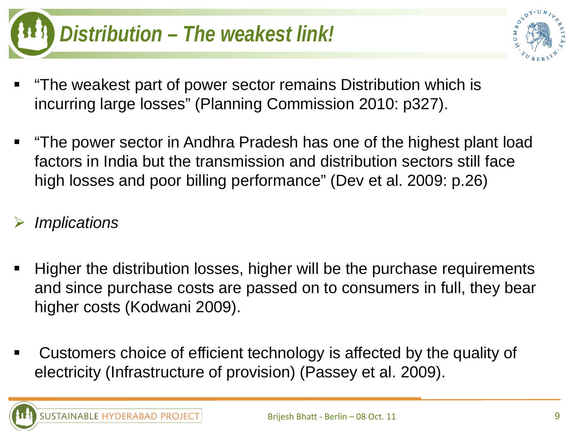## *Distribution – The weakest link!*



- "The weakest part of power sector remains Distribution which is incurring large losses" (Planning Commission 2010: p327).
- "The power sector in Andhra Pradesh has one of the highest plant load factors in India but the transmission and distribution sectors still face high losses and poor billing performance" (Dev et al. 2009: p.26)

#### *Implications*

- Higher the distribution losses, higher will be the purchase requirements and since purchase costs are passed on to consumers in full, they bear higher costs (Kodwani 2009).
- Customers choice of efficient technology is affected by the quality of electricity (Infrastructure of provision) (Passey et al. 2009).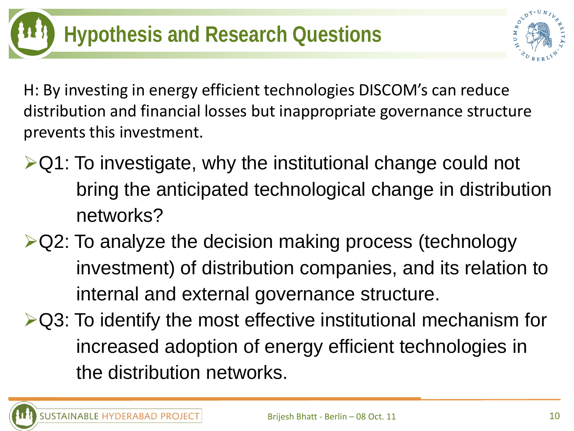

H: By investing in energy efficient technologies DISCOM's can reduce distribution and financial losses but inappropriate governance structure prevents this investment.

- $\triangle$ Q1: To investigate, why the institutional change could not bring the anticipated technological change in distribution networks?
- **≻Q2: To analyze the decision making process (technology** investment) of distribution companies, and its relation to internal and external governance structure.
- $\triangleright$ Q3: To identify the most effective institutional mechanism for increased adoption of energy efficient technologies in the distribution networks.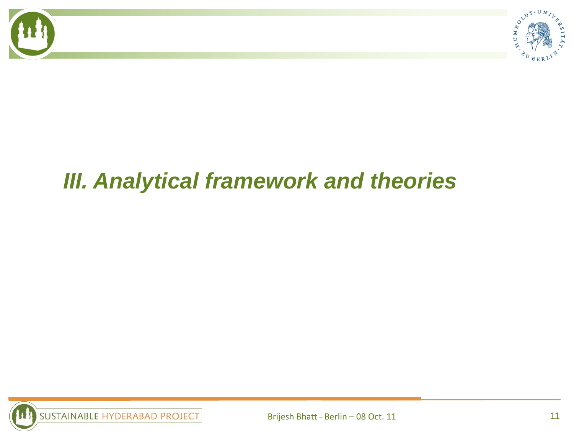



### *III. Analytical framework and theories*

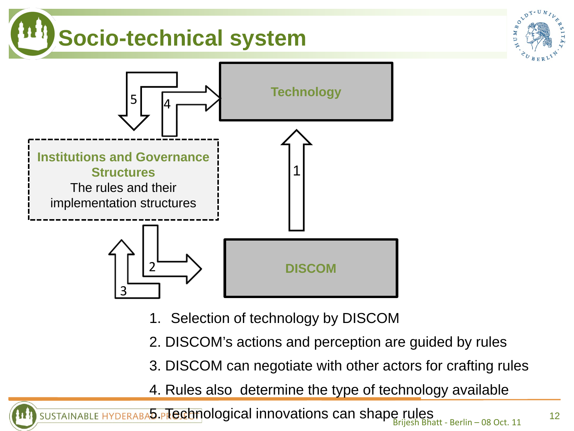### **Socio-technical system**



- 1. Selection of technology by DISCOM
- 2. DISCOM's actions and perception are guided by rules
- 3. DISCOM can negotiate with other actors for crafting rules
- 4. Rules also determine the type of technology available

5. PTechnological innovations can shape rules<br>Brijesh Bhatt - Berlin – 08 Oct. 11 **SUSTAINABLE HY** 

UMBOLD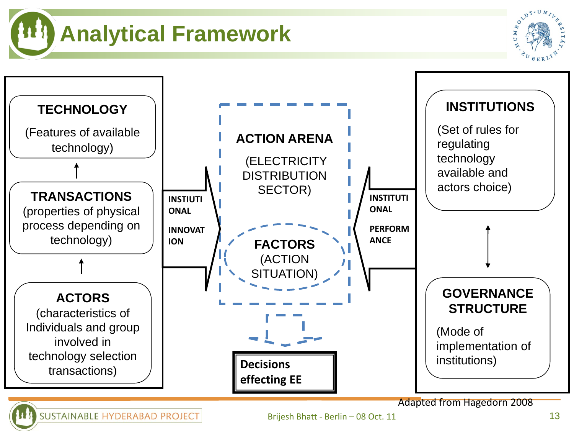**Analytical Framework**



Brijesh Bhatt - Berlin – 08 Oct. 11

UMBO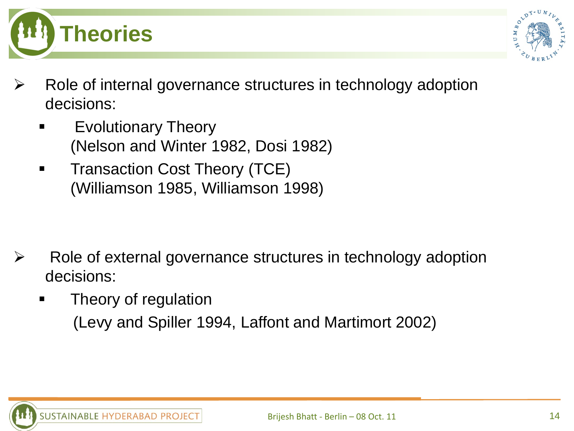



- Role of internal governance structures in technology adoption decisions:
	- Evolutionary Theory (Nelson and Winter 1982, Dosi 1982)
	- **Transaction Cost Theory (TCE)** (Williamson 1985, Williamson 1998)

- Role of external governance structures in technology adoption decisions:
	- Theory of regulation (Levy and Spiller 1994, Laffont and Martimort 2002)

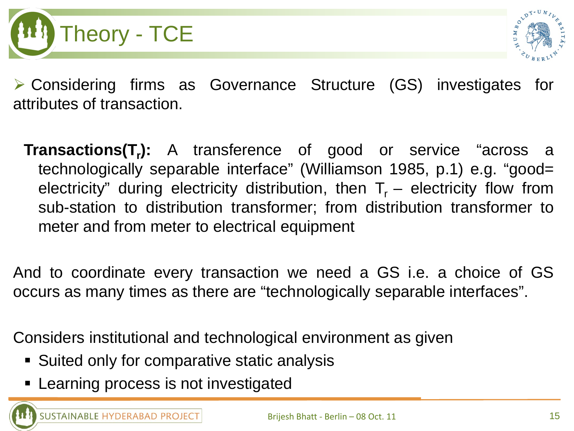



 Considering firms as Governance Structure (GS) investigates for attributes of transaction.

**Transactions(T<sub>r</sub>):** A transference of good or service "across a technologically separable interface" (Williamson 1985, p.1) e.g. "good= electricity" during electricity distribution, then  $T_r$  – electricity flow from sub-station to distribution transformer; from distribution transformer to meter and from meter to electrical equipment

And to coordinate every transaction we need a GS i.e. a choice of GS occurs as many times as there are "technologically separable interfaces".

Considers institutional and technological environment as given

- **Suited only for comparative static analysis**
- **EXEC** Learning process is not investigated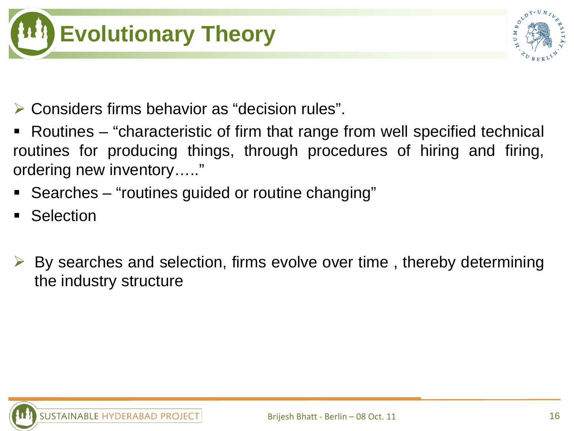



- Considers firms behavior as "decision rules".
- Routines "characteristic of firm that range from well specified technical routines for producing things, through procedures of hiring and firing, ordering new inventory….."
- Searches "routines guided or routine changing"
- **Selection**
- By searches and selection, firms evolve over time , thereby determining the industry structure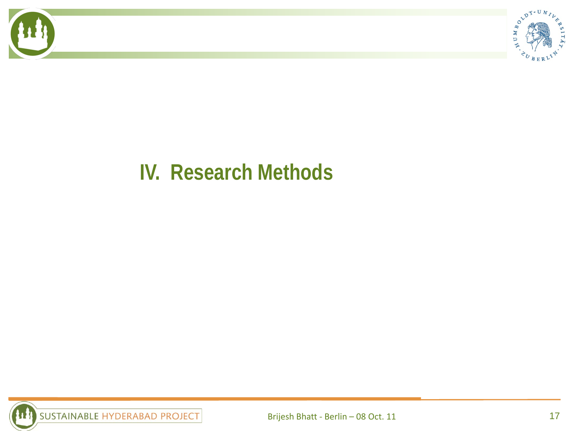



#### **IV. Research Methods**

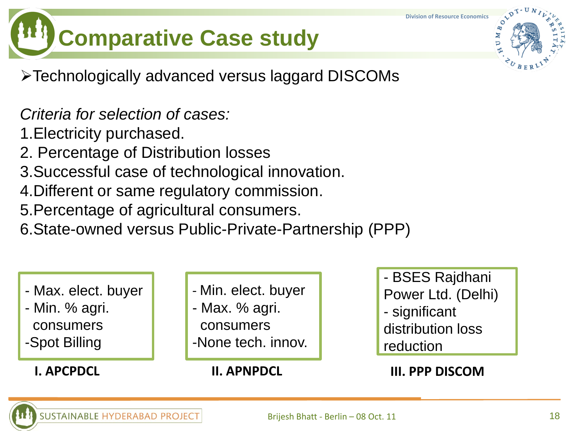**Division of Resource Economics**

OLDT-

 $M_B$ 

# **Comparative Case study**

Technologically advanced versus laggard DISCOMs

*Criteria for selection of cases:*

1.Electricity purchased.

- 2. Percentage of Distribution losses
- 3.Successful case of technological innovation.
- 4.Different or same regulatory commission.
- 5.Percentage of agricultural consumers.

6.State-owned versus Public-Private-Partnership (PPP)

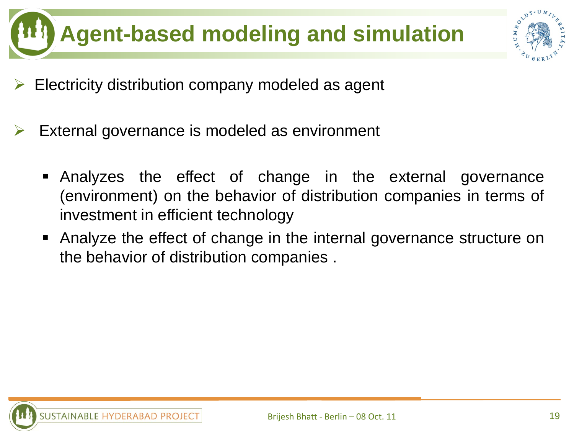



- Electricity distribution company modeled as agent
- External governance is modeled as environment
	- Analyzes the effect of change in the external governance (environment) on the behavior of distribution companies in terms of investment in efficient technology
	- Analyze the effect of change in the internal governance structure on the behavior of distribution companies .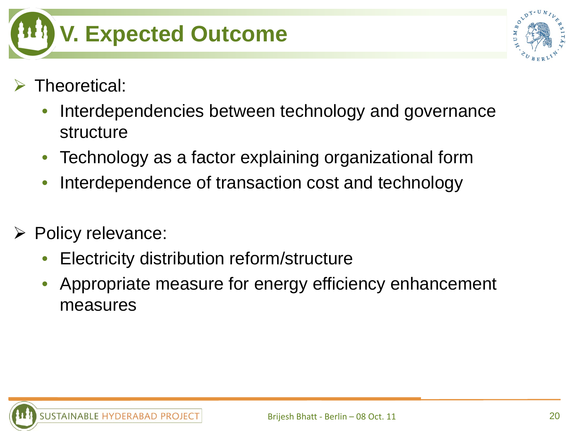

- Theoretical:
	- Interdependencies between technology and governance structure
	- Technology as a factor explaining organizational form
	- Interdependence of transaction cost and technology
- $\triangleright$  Policy relevance:
	- Electricity distribution reform/structure
	- Appropriate measure for energy efficiency enhancement measures